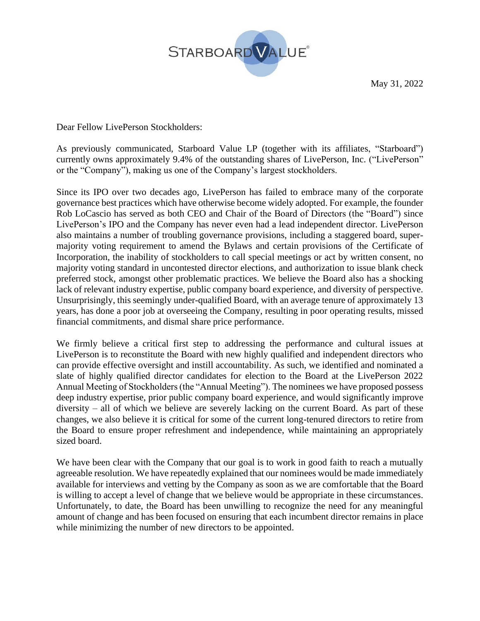

May 31, 2022

Dear Fellow LivePerson Stockholders:

As previously communicated, Starboard Value LP (together with its affiliates, "Starboard") currently owns approximately 9.4% of the outstanding shares of LivePerson, Inc. ("LivePerson" or the "Company"), making us one of the Company's largest stockholders.

Since its IPO over two decades ago, LivePerson has failed to embrace many of the corporate governance best practices which have otherwise become widely adopted. For example, the founder Rob LoCascio has served as both CEO and Chair of the Board of Directors (the "Board") since LivePerson's IPO and the Company has never even had a lead independent director. LivePerson also maintains a number of troubling governance provisions, including a staggered board, supermajority voting requirement to amend the Bylaws and certain provisions of the Certificate of Incorporation, the inability of stockholders to call special meetings or act by written consent, no majority voting standard in uncontested director elections, and authorization to issue blank check preferred stock, amongst other problematic practices. We believe the Board also has a shocking lack of relevant industry expertise, public company board experience, and diversity of perspective. Unsurprisingly, this seemingly under-qualified Board, with an average tenure of approximately 13 years, has done a poor job at overseeing the Company, resulting in poor operating results, missed financial commitments, and dismal share price performance.

We firmly believe a critical first step to addressing the performance and cultural issues at LivePerson is to reconstitute the Board with new highly qualified and independent directors who can provide effective oversight and instill accountability. As such, we identified and nominated a slate of highly qualified director candidates for election to the Board at the LivePerson 2022 Annual Meeting of Stockholders (the "Annual Meeting"). The nominees we have proposed possess deep industry expertise, prior public company board experience, and would significantly improve diversity – all of which we believe are severely lacking on the current Board. As part of these changes, we also believe it is critical for some of the current long-tenured directors to retire from the Board to ensure proper refreshment and independence, while maintaining an appropriately sized board.

We have been clear with the Company that our goal is to work in good faith to reach a mutually agreeable resolution. We have repeatedly explained that our nominees would be made immediately available for interviews and vetting by the Company as soon as we are comfortable that the Board is willing to accept a level of change that we believe would be appropriate in these circumstances. Unfortunately, to date, the Board has been unwilling to recognize the need for any meaningful amount of change and has been focused on ensuring that each incumbent director remains in place while minimizing the number of new directors to be appointed.